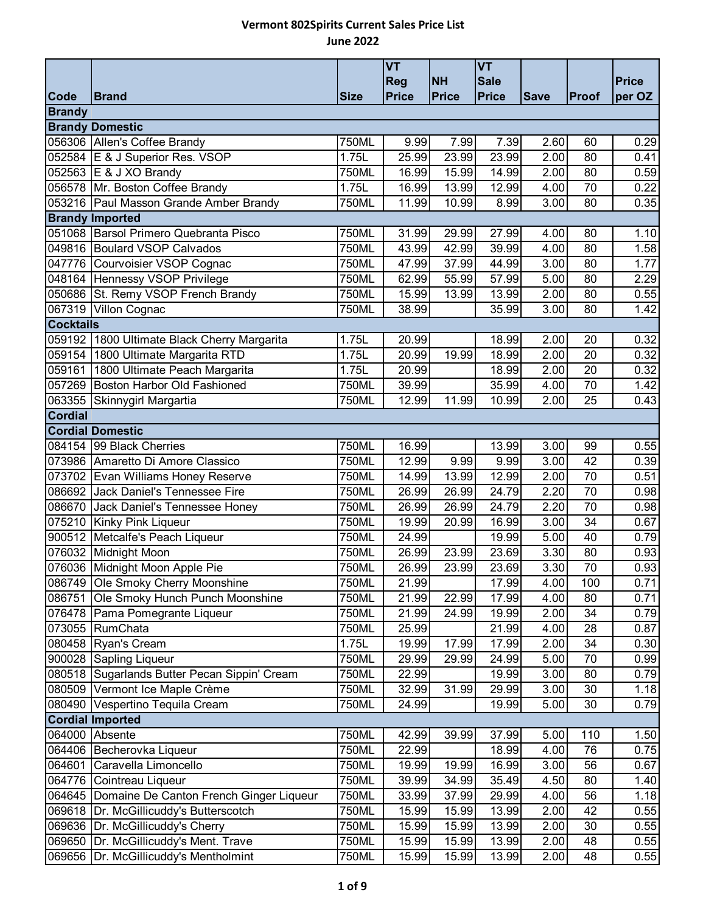|                  |                                             |             | <b>VT</b>    |           | <b>VT</b>   |             |                 |        |
|------------------|---------------------------------------------|-------------|--------------|-----------|-------------|-------------|-----------------|--------|
|                  |                                             |             | <b>Reg</b>   | <b>NH</b> | <b>Sale</b> |             |                 | Price  |
| Code             | <b>Brand</b>                                | <b>Size</b> | <b>Price</b> | Price     | Price       | <b>Save</b> | Proof           | per OZ |
| <b>Brandy</b>    |                                             |             |              |           |             |             |                 |        |
|                  | <b>Brandy Domestic</b>                      |             |              |           |             |             |                 |        |
|                  | 056306 Allen's Coffee Brandy                | 750ML       | 9.99         | 7.99      | 7.39        | 2.60        | 60              | 0.29   |
|                  | 052584 E & J Superior Res. VSOP             | 1.75L       | 25.99        | 23.99     | 23.99       | 2.00        | 80              | 0.41   |
|                  | 052563 E & J XO Brandy                      | 750ML       | 16.99        | 15.99     | 14.99       | 2.00        | 80              | 0.59   |
|                  | 056578 Mr. Boston Coffee Brandy             | 1.75L       | 16.99        | 13.99     | 12.99       | 4.00        | 70              | 0.22   |
|                  | 053216 Paul Masson Grande Amber Brandy      | 750ML       | 11.99        | 10.99     | 8.99        | 3.00        | 80              | 0.35   |
|                  | <b>Brandy Imported</b>                      |             |              |           |             |             |                 |        |
|                  | 051068 Barsol Primero Quebranta Pisco       | 750ML       | 31.99        | 29.99     | 27.99       | 4.00        | 80              | 1.10   |
|                  | 049816 Boulard VSOP Calvados                | 750ML       | 43.99        | 42.99     | 39.99       | 4.00        | 80              | 1.58   |
|                  | 047776 Courvoisier VSOP Cognac              | 750ML       | 47.99        | 37.99     | 44.99       | 3.00        | 80              | 1.77   |
|                  | 048164 Hennessy VSOP Privilege              | 750ML       | 62.99        | 55.99     | 57.99       | 5.00        | 80              | 2.29   |
|                  | 050686 St. Remy VSOP French Brandy          | 750ML       | 15.99        | 13.99     | 13.99       | 2.00        | 80              | 0.55   |
| 067319           | Villon Cognac                               | 750ML       | 38.99        |           | 35.99       | 3.00        | 80              | 1.42   |
| <b>Cocktails</b> |                                             |             |              |           |             |             |                 |        |
|                  | 059192 1800 Ultimate Black Cherry Margarita | 1.75L       | 20.99        |           | 18.99       | 2.00        | 20              | 0.32   |
| 059154           | 1800 Ultimate Margarita RTD                 | 1.75L       | 20.99        | 19.99     | 18.99       | 2.00        | 20              | 0.32   |
| 059161           | 1800 Ultimate Peach Margarita               | 1.75L       | 20.99        |           | 18.99       | 2.00        | 20              | 0.32   |
|                  | 057269 Boston Harbor Old Fashioned          | 750ML       | 39.99        |           | 35.99       | 4.00        | 70              | 1.42   |
|                  |                                             | 750ML       | 12.99        | 11.99     | 10.99       | 2.00        | 25              |        |
| Cordial          | 063355 Skinnygirl Margartia                 |             |              |           |             |             |                 | 0.43   |
|                  | <b>Cordial Domestic</b>                     |             |              |           |             |             |                 |        |
|                  |                                             |             |              |           |             |             |                 |        |
| 084154           | 99 Black Cherries                           | 750ML       | 16.99        |           | 13.99       | 3.00        | 99              | 0.55   |
|                  | 073986 Amaretto Di Amore Classico           | 750ML       | 12.99        | 9.99      | 9.99        | 3.00        | 42<br>70        | 0.39   |
|                  | 073702 Evan Williams Honey Reserve          | 750ML       | 14.99        | 13.99     | 12.99       | 2.00        | 70              | 0.51   |
|                  | 086692 Jack Daniel's Tennessee Fire         | 750ML       | 26.99        | 26.99     | 24.79       | 2.20        |                 | 0.98   |
| 086670           | Jack Daniel's Tennessee Honey               | 750ML       | 26.99        | 26.99     | 24.79       | 2.20        | $\overline{70}$ | 0.98   |
|                  | 075210 Kinky Pink Liqueur                   | 750ML       | 19.99        | 20.99     | 16.99       | 3.00        | 34              | 0.67   |
|                  | 900512 Metcalfe's Peach Liqueur             | 750ML       | 24.99        |           | 19.99       | 5.00        | 40              | 0.79   |
|                  | 076032 Midnight Moon                        | 750ML       | 26.99        | 23.99     | 23.69       | 3.30        | 80              | 0.93   |
|                  | 076036 Midnight Moon Apple Pie              | 750ML       | 26.99        | 23.99     | 23.69       | 3.30        | 70              | 0.93   |
| 086749           | <b>Ole Smoky Cherry Moonshine</b>           | 750ML       | 21.99        |           | 17.99       | 4.00        | 100             | 0.71   |
| 086751           | Ole Smoky Hunch Punch Moonshine             | 750ML       | 21.99        | 22.99     | 17.99       | 4.00        | 80              | 0.71   |
|                  | 076478 Pama Pomegrante Liqueur              | 750ML       | 21.99        | 24.99     | 19.99       | 2.00        | 34              | 0.79   |
|                  | 073055 RumChata                             | 750ML       | 25.99        |           | 21.99       | 4.00        | 28              | 0.87   |
|                  | 080458 Ryan's Cream                         | 1.75L       | 19.99        | 17.99     | 17.99       | 2.00        | 34              | 0.30   |
| 900028           | Sapling Liqueur                             | 750ML       | 29.99        | 29.99     | 24.99       | 5.00        | 70              | 0.99   |
| 080518           | Sugarlands Butter Pecan Sippin' Cream       | 750ML       | 22.99        |           | 19.99       | 3.00        | 80              | 0.79   |
| 080509           | Vermont Ice Maple Crème                     | 750ML       | 32.99        | 31.99     | 29.99       | 3.00        | 30              | 1.18   |
| 080490           | Vespertino Tequila Cream                    | 750ML       | 24.99        |           | 19.99       | 5.00        | 30              | 0.79   |
|                  | <b>Cordial Imported</b>                     |             |              |           |             |             |                 |        |
| 064000           | Absente                                     | 750ML       | 42.99        | 39.99     | 37.99       | 5.00        | 110             | 1.50   |
| 064406           | Becherovka Liqueur                          | 750ML       | 22.99        |           | 18.99       | 4.00        | 76              | 0.75   |
| 064601           | Caravella Limoncello                        | 750ML       | 19.99        | 19.99     | 16.99       | 3.00        | 56              | 0.67   |
| 064776           | Cointreau Liqueur                           | 750ML       | 39.99        | 34.99     | 35.49       | 4.50        | 80              | 1.40   |
| 064645           | Domaine De Canton French Ginger Liqueur     | 750ML       | 33.99        | 37.99     | 29.99       | 4.00        | 56              | 1.18   |
| 069618           | Dr. McGillicuddy's Butterscotch             | 750ML       | 15.99        | 15.99     | 13.99       | 2.00        | 42              | 0.55   |
| 069636           | Dr. McGillicuddy's Cherry                   | 750ML       | 15.99        | 15.99     | 13.99       | 2.00        | 30              | 0.55   |
| 069650           | Dr. McGillicuddy's Ment. Trave              | 750ML       | 15.99        | 15.99     | 13.99       | 2.00        | 48              | 0.55   |
| 069656           | Dr. McGillicuddy's Mentholmint              | 750ML       | 15.99        | 15.99     | 13.99       | 2.00        | 48              | 0.55   |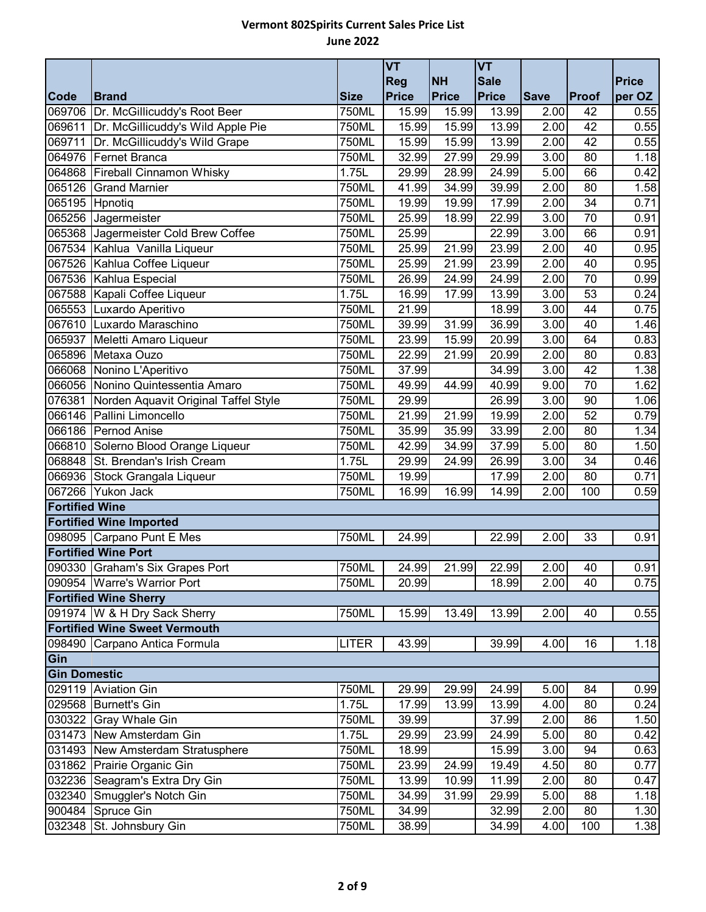|                       |                                             |                     | <b>VT</b>    |                    | <b>VT</b>    |             |       |              |
|-----------------------|---------------------------------------------|---------------------|--------------|--------------------|--------------|-------------|-------|--------------|
|                       |                                             |                     | <b>Reg</b>   | <b>NH</b>          | <b>Sale</b>  |             |       | <b>Price</b> |
| <b>Code</b>           | <b>Brand</b>                                | <b>Size</b>         | <b>Price</b> | <b>Price</b>       | <b>Price</b> | <b>Save</b> | Proof | per OZ       |
| 069706                | Dr. McGillicuddy's Root Beer                | 750ML               | 15.99        | 15.99              | 13.99        | 2.00        | 42    | 0.55         |
|                       | 069611 Dr. McGillicuddy's Wild Apple Pie    | 750ML               | 15.99        | 15.99              | 13.99        | 2.00        | 42    | 0.55         |
|                       | 069711 Dr. McGillicuddy's Wild Grape        | 750ML               | 15.99        | 15.99              | 13.99        | 2.00        | 42    | 0.55         |
|                       | 064976 Fernet Branca                        | 750ML               | 32.99        | 27.99              | 29.99        | 3.00        | 80    | 1.18         |
|                       | 064868 Fireball Cinnamon Whisky             | 1.75L               | 29.99        | 28.99              | 24.99        | 5.00        | 66    | 0.42         |
|                       | 065126 Grand Marnier                        | 750ML               | 41.99        | 34.99              | 39.99        | 2.00        | 80    | 1.58         |
| 065195 Hpnotiq        |                                             | $\overline{75}$ OML | 19.99        | 19.99              | 17.99        | 2.00        | 34    | 0.71         |
|                       | 065256 Jagermeister                         | 750ML               | 25.99        | 18.99              | 22.99        | 3.00        | 70    | 0.91         |
|                       | 065368 Jagermeister Cold Brew Coffee        | 750ML               | 25.99        |                    | 22.99        | 3.00        | 66    | 0.91         |
|                       | 067534 Kahlua Vanilla Liqueur               | 750ML               | 25.99        | 21.99              | 23.99        | 2.00        | 40    | 0.95         |
|                       | 067526 Kahlua Coffee Liqueur                | 750ML               | 25.99        | 21.99              | 23.99        | 2.00        | 40    | 0.95         |
|                       | 067536 Kahlua Especial                      | 750ML               | 26.99        | 24.99              | 24.99        | 2.00        | 70    | 0.99         |
|                       | 067588 Kapali Coffee Liqueur                | 1.75L               | 16.99        | 17.99              | 13.99        | 3.00        | 53    | 0.24         |
|                       | 065553 Luxardo Aperitivo                    | 750ML               | 21.99        |                    | 18.99        | 3.00        | 44    | 0.75         |
|                       | 067610 Luxardo Maraschino                   | 750ML               | 39.99        | 31.99              | 36.99        | 3.00        | 40    | 1.46         |
|                       | 065937 Meletti Amaro Liqueur                | 750ML               | 23.99        | 15.99              | 20.99        | 3.00        | 64    | 0.83         |
|                       | 065896 Metaxa Ouzo                          | $\overline{75}$ OML | 22.99        | 21.99              | 20.99        | 2.00        | 80    | 0.83         |
|                       | 066068 Nonino L'Aperitivo                   | 750ML               | 37.99        |                    | 34.99        | 3.00        | 42    | 1.38         |
|                       | 066056 Nonino Quintessentia Amaro           | 750ML               | 49.99        | 44.99              | 40.99        | 9.00        | 70    | 1.62         |
|                       | 076381 Norden Aquavit Original Taffel Style | 750ML               | 29.99        |                    | 26.99        | 3.00        | 90    | 1.06         |
|                       | 066146 Pallini Limoncello                   | 750ML               | 21.99        | $\overline{2}1.99$ | 19.99        | 2.00        | 52    | 0.79         |
|                       | 066186 Pernod Anise                         | 750ML               | 35.99        | 35.99              | 33.99        | 2.00        | 80    | 1.34         |
|                       | 066810 Solerno Blood Orange Liqueur         | 750ML               | 42.99        | 34.99              | 37.99        | 5.00        | 80    | 1.50         |
|                       | 068848 St. Brendan's Irish Cream            | 1.75L               | 29.99        | 24.99              | 26.99        | 3.00        | 34    | 0.46         |
|                       | 066936 Stock Grangala Liqueur               | 750ML               | 19.99        |                    | 17.99        | 2.00        | 80    | 0.71         |
| 067266                | Yukon Jack                                  | 750ML               | 16.99        | 16.99              | 14.99        | 2.00        | 100   | 0.59         |
| <b>Fortified Wine</b> |                                             |                     |              |                    |              |             |       |              |
|                       | <b>Fortified Wine Imported</b>              |                     |              |                    |              |             |       |              |
|                       | 098095 Carpano Punt E Mes                   | 750ML               | 24.99        |                    | 22.99        | 2.00        | 33    | 0.91         |
|                       | <b>Fortified Wine Port</b>                  |                     |              |                    |              |             |       |              |
|                       | 090330 Graham's Six Grapes Port             | 750ML               | 24.99        | 21.99              | 22.99        | 2.00        | 40    | 0.91         |
|                       | 090954 Warre's Warrior Port                 | 750ML               | 20.99        |                    | 18.99        | 2.00        | 40    | 0.75         |
|                       | <b>Fortified Wine Sherry</b>                |                     |              |                    |              |             |       |              |
|                       | 091974 W & H Dry Sack Sherry                | 750ML               | 15.99        | 13.49              | 13.99        | 2.00        | 40    | 0.55         |
|                       | <b>Fortified Wine Sweet Vermouth</b>        |                     |              |                    |              |             |       |              |
|                       | 098490 Carpano Antica Formula               | <b>LITER</b>        | 43.99        |                    | 39.99        | 4.00        | 16    | 1.18         |
| Gin                   |                                             |                     |              |                    |              |             |       |              |
| <b>Gin Domestic</b>   |                                             |                     |              |                    |              |             |       |              |
|                       | 029119 Aviation Gin                         | 750ML               | 29.99        | 29.99              | 24.99        | 5.00        | 84    | 0.99         |
|                       | 029568 Burnett's Gin                        | 1.75L               | 17.99        | 13.99              | 13.99        | 4.00        | 80    | 0.24         |
|                       | 030322 Gray Whale Gin                       | 750ML               | 39.99        |                    | 37.99        | 2.00        | 86    | 1.50         |
|                       | 031473 New Amsterdam Gin                    | 1.75L               | 29.99        | 23.99              | 24.99        | 5.00        | 80    | 0.42         |
|                       | 031493 New Amsterdam Stratusphere           | 750ML               | 18.99        |                    | 15.99        | 3.00        | 94    | 0.63         |
|                       | 031862 Prairie Organic Gin                  | 750ML               | 23.99        | 24.99              | 19.49        | 4.50        | 80    | 0.77         |
|                       | 032236 Seagram's Extra Dry Gin              | 750ML               | 13.99        | 10.99              | 11.99        | 2.00        | 80    | 0.47         |
|                       | 032340 Smuggler's Notch Gin                 | 750ML               | 34.99        | 31.99              | 29.99        | 5.00        | 88    | 1.18         |
|                       | 900484 Spruce Gin                           | 750ML               | 34.99        |                    | 32.99        | 2.00        | 80    | 1.30         |
|                       | 032348 St. Johnsbury Gin                    | 750ML               | 38.99        |                    | 34.99        | 4.00        | 100   | 1.38         |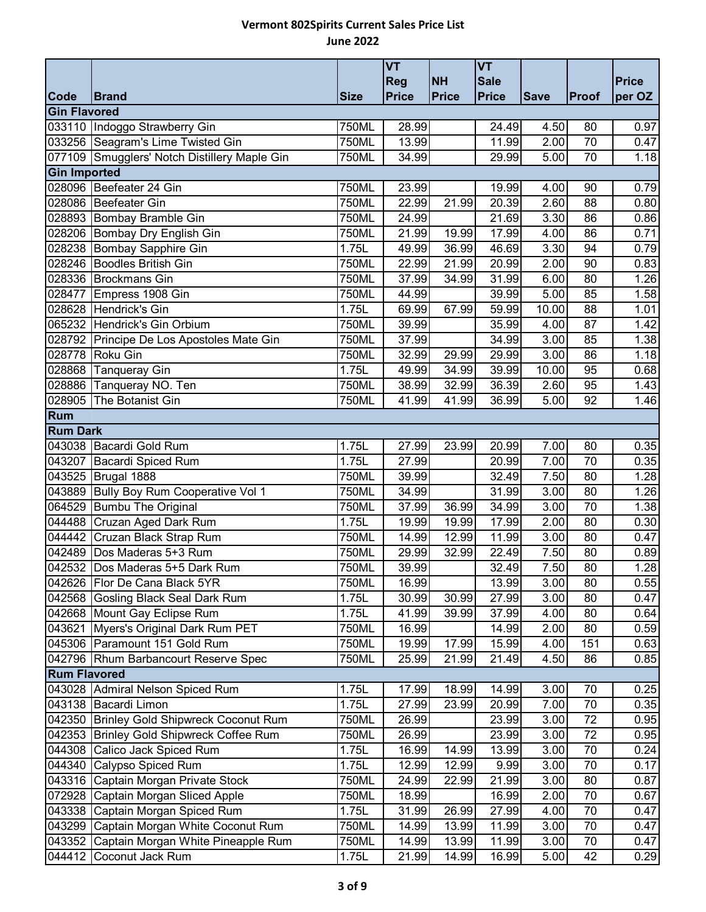|                     |                                              |             | <b>VT</b>    |           | <b>VT</b>    |             |       |              |
|---------------------|----------------------------------------------|-------------|--------------|-----------|--------------|-------------|-------|--------------|
|                     |                                              |             | Reg          | <b>NH</b> | <b>Sale</b>  |             |       | <b>Price</b> |
| Code                | <b>Brand</b>                                 | <b>Size</b> | <b>Price</b> | Price     | <b>Price</b> | <b>Save</b> | Proof | per OZ       |
| <b>Gin Flavored</b> |                                              |             |              |           |              |             |       |              |
|                     | 033110 Indoggo Strawberry Gin                | 750ML       | 28.99        |           | 24.49        | 4.50        | 80    | 0.97         |
|                     | 033256 Seagram's Lime Twisted Gin            | 750ML       | 13.99        |           | 11.99        | 2.00        | 70    | 0.47         |
|                     | 077109 Smugglers' Notch Distillery Maple Gin | 750ML       | 34.99        |           | 29.99        | 5.00        | 70    | 1.18         |
| <b>Gin Imported</b> |                                              |             |              |           |              |             |       |              |
|                     | 028096 Beefeater 24 Gin                      | 750ML       | 23.99        |           | 19.99        | 4.00        | 90    | 0.79         |
|                     | 028086 Beefeater Gin                         | 750ML       | 22.99        | 21.99     | 20.39        | 2.60        | 88    | 0.80         |
|                     | 028893 Bombay Bramble Gin                    | 750ML       | 24.99        |           | 21.69        | 3.30        | 86    | 0.86         |
|                     | 028206 Bombay Dry English Gin                | 750ML       | 21.99        | 19.99     | 17.99        | 4.00        | 86    | 0.71         |
|                     | 028238 Bombay Sapphire Gin                   | 1.75L       | 49.99        | 36.99     | 46.69        | 3.30        | 94    | 0.79         |
|                     | 028246 Boodles British Gin                   | 750ML       | 22.99        | 21.99     | 20.99        | 2.00        | 90    | 0.83         |
|                     | 028336 Brockmans Gin                         | 750ML       | 37.99        | 34.99     | 31.99        | 6.00        | 80    | 1.26         |
| 028477              | Empress 1908 Gin                             | 750ML       | 44.99        |           | 39.99        | 5.00        | 85    | 1.58         |
|                     | 028628 Hendrick's Gin                        | 1.75L       | 69.99        | 67.99     | 59.99        | 10.00       | 88    | 1.01         |
|                     | 065232 Hendrick's Gin Orbium                 | 750ML       | 39.99        |           | 35.99        | 4.00        | 87    | 1.42         |
|                     | 028792 Principe De Los Apostoles Mate Gin    | 750ML       | 37.99        |           | 34.99        | 3.00        | 85    | 1.38         |
| 028778              | Roku Gin                                     | 750ML       | 32.99        | 29.99     | 29.99        | 3.00        | 86    | 1.18         |
| 028868              | Tanqueray Gin                                | 1.75L       | 49.99        | 34.99     | 39.99        | 10.00       | 95    | 0.68         |
|                     | 028886 Tanqueray NO. Ten                     | 750ML       | 38.99        | 32.99     | 36.39        | 2.60        | 95    | 1.43         |
| 028905              | The Botanist Gin                             | 750ML       | 41.99        | 41.99     | 36.99        | 5.00        | 92    | 1.46         |
| Rum                 |                                              |             |              |           |              |             |       |              |
| <b>Rum Dark</b>     |                                              |             |              |           |              |             |       |              |
|                     | 043038 Bacardi Gold Rum                      | 1.75L       | 27.99        | 23.99     | 20.99        | 7.00        | 80    | 0.35         |
|                     | 043207 Bacardi Spiced Rum                    | 1.75L       | 27.99        |           | 20.99        | 7.00        | 70    | 0.35         |
|                     | 043525 Brugal 1888                           | 750ML       | 39.99        |           | 32.49        | 7.50        | 80    | 1.28         |
|                     | 043889 Bully Boy Rum Cooperative Vol 1       | 750ML       | 34.99        |           | 31.99        | 3.00        | 80    | 1.26         |
|                     | 064529 Bumbu The Original                    | 750ML       | 37.99        | 36.99     | 34.99        | 3.00        | 70    | 1.38         |
|                     | 044488 Cruzan Aged Dark Rum                  | 1.75L       | 19.99        | 19.99     | 17.99        | 2.00        | 80    | 0.30         |
|                     | 044442 Cruzan Black Strap Rum                | 750ML       | 14.99        | 12.99     | 11.99        | 3.00        | 80    | 0.47         |
|                     | 042489 Dos Maderas 5+3 Rum                   | 750ML       | 29.99        | 32.99     | 22.49        | 7.50        | 80    | 0.89         |
|                     | 042532 Dos Maderas 5+5 Dark Rum              | 750ML       | 39.99        |           | 32.49        | 7.50        | 80    | 1.28         |
|                     | 042626 Flor De Cana Black 5YR                | 750ML       | 16.99        |           | 13.99        | 3.00        | 80    | 0.55         |
|                     | 042568 Gosling Black Seal Dark Rum           | 1.75L       | 30.99        | 30.99     | 27.99        | 3.00        | 80    | 0.47         |
|                     | 042668 Mount Gay Eclipse Rum                 | 1.75L       | 41.99        | 39.99     | 37.99        | 4.00        | 80    | 0.64         |
|                     | 043621 Myers's Original Dark Rum PET         | 750ML       | 16.99        |           | 14.99        | 2.00        | 80    | 0.59         |
|                     | 045306 Paramount 151 Gold Rum                | 750ML       | 19.99        | 17.99     | 15.99        | 4.00        | 151   | 0.63         |
|                     | 042796 Rhum Barbancourt Reserve Spec         | 750ML       | 25.99        | 21.99     | 21.49        | 4.50        | 86    | 0.85         |
| <b>Rum Flavored</b> |                                              |             |              |           |              |             |       |              |
|                     | 043028 Admiral Nelson Spiced Rum             | 1.75L       | 17.99        | 18.99     | 14.99        | 3.00        | 70    | 0.25         |
|                     | 043138 Bacardi Limon                         | 1.75L       | 27.99        | 23.99     | 20.99        | 7.00        | 70    | 0.35         |
|                     | 042350 Brinley Gold Shipwreck Coconut Rum    | 750ML       | 26.99        |           | 23.99        | 3.00        | 72    | 0.95         |
| 042353              | Brinley Gold Shipwreck Coffee Rum            | 750ML       | 26.99        |           | 23.99        | 3.00        | 72    | 0.95         |
|                     | 044308 Calico Jack Spiced Rum                | 1.75L       | 16.99        | 14.99     | 13.99        | 3.00        | 70    | 0.24         |
| 044340              | Calypso Spiced Rum                           | 1.75L       | 12.99        | 12.99     | 9.99         | 3.00        | 70    | 0.17         |
|                     | 043316 Captain Morgan Private Stock          | 750ML       | 24.99        | 22.99     | 21.99        | 3.00        | 80    | 0.87         |
| 072928              | Captain Morgan Sliced Apple                  | 750ML       | 18.99        |           | 16.99        | 2.00        | 70    | 0.67         |
| 043338              | Captain Morgan Spiced Rum                    | 1.75L       | 31.99        | 26.99     | 27.99        | 4.00        | 70    | 0.47         |
| 043299              | Captain Morgan White Coconut Rum             | 750ML       | 14.99        | 13.99     | 11.99        | 3.00        | 70    | 0.47         |
| 043352              | Captain Morgan White Pineapple Rum           | 750ML       | 14.99        | 13.99     | 11.99        | 3.00        | 70    | 0.47         |
| 044412              | Coconut Jack Rum                             | 1.75L       | 21.99        | 14.99     | 16.99        | 5.00        | 42    | 0.29         |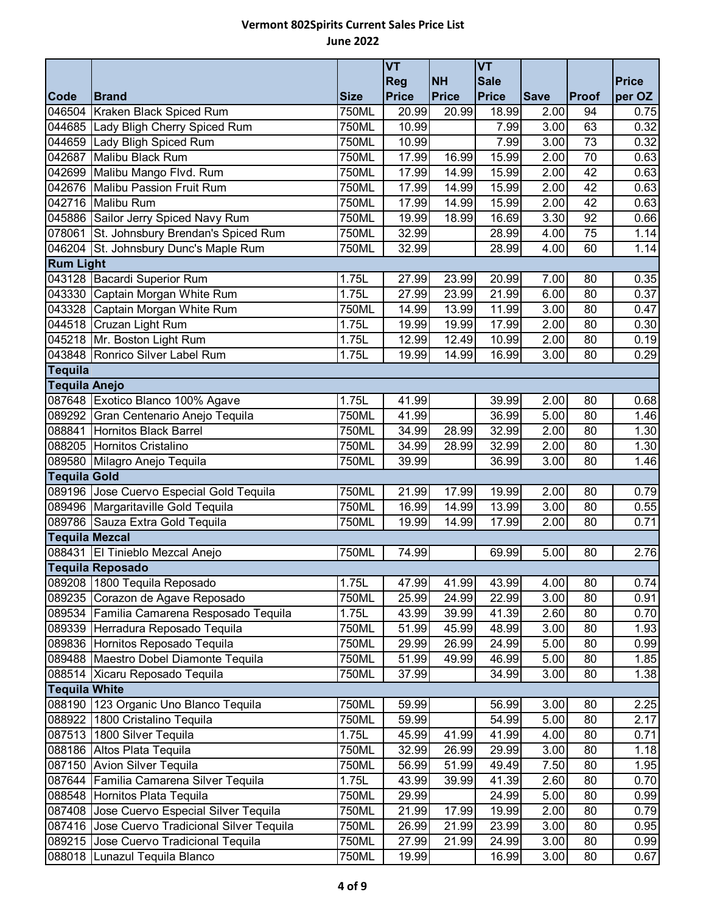|                       |                                          |             | <b>VT</b><br>Reg | <b>NH</b> | <b>VT</b><br><b>Sale</b> |             |       | <b>Price</b> |
|-----------------------|------------------------------------------|-------------|------------------|-----------|--------------------------|-------------|-------|--------------|
| Code                  | <b>Brand</b>                             | <b>Size</b> | Price            | Price     | <b>Price</b>             | <b>Save</b> | Proof | per OZ       |
| 046504                | Kraken Black Spiced Rum                  | 750ML       | 20.99            | 20.99     | 18.99                    | 2.00        | 94    | 0.75         |
|                       | 044685 Lady Bligh Cherry Spiced Rum      | 750ML       | 10.99            |           | 7.99                     | 3.00        | 63    | 0.32         |
|                       | 044659 Lady Bligh Spiced Rum             | 750ML       | 10.99            |           | 7.99                     | 3.00        | 73    | 0.32         |
| 042687                | Malibu Black Rum                         | 750ML       | 17.99            | 16.99     | 15.99                    | 2.00        | 70    | 0.63         |
| 042699                | Malibu Mango Flvd. Rum                   | 750ML       | 17.99            | 14.99     | 15.99                    | 2.00        | 42    | 0.63         |
|                       | 042676 Malibu Passion Fruit Rum          | 750ML       | 17.99            | 14.99     | 15.99                    | 2.00        | 42    | 0.63         |
|                       | 042716 Malibu Rum                        | 750ML       | 17.99            | 14.99     | 15.99                    | 2.00        | 42    | 0.63         |
|                       | 045886 Sailor Jerry Spiced Navy Rum      | 750ML       | 19.99            | 18.99     | 16.69                    | 3.30        | 92    | 0.66         |
| 078061                | St. Johnsbury Brendan's Spiced Rum       | 750ML       | 32.99            |           | 28.99                    | 4.00        | 75    | 1.14         |
|                       | 046204 St. Johnsbury Dunc's Maple Rum    | 750ML       | 32.99            |           | 28.99                    | 4.00        | 60    | 1.14         |
| <b>Rum Light</b>      |                                          |             |                  |           |                          |             |       |              |
|                       | 043128 Bacardi Superior Rum              | 1.75L       | 27.99            | 23.99     | 20.99                    | 7.00        | 80    | 0.35         |
|                       | 043330 Captain Morgan White Rum          | 1.75L       | 27.99            | 23.99     | 21.99                    | 6.00        | 80    | 0.37         |
|                       | 043328 Captain Morgan White Rum          | 750ML       | 14.99            | 13.99     | 11.99                    | 3.00        | 80    | 0.47         |
|                       | 044518 Cruzan Light Rum                  | 1.75L       | 19.99            | 19.99     | 17.99                    | 2.00        | 80    | 0.30         |
|                       | 045218 Mr. Boston Light Rum              | 1.75L       | 12.99            | 12.49     | 10.99                    | 2.00        | 80    | 0.19         |
|                       | 043848 Ronrico Silver Label Rum          | 1.75L       | 19.99            | 14.99     | 16.99                    | 3.00        | 80    | 0.29         |
| <b>Tequila</b>        |                                          |             |                  |           |                          |             |       |              |
| <b>Tequila Anejo</b>  |                                          |             |                  |           |                          |             |       |              |
|                       | 087648 Exotico Blanco 100% Agave         | 1.75L       | 41.99            |           | 39.99                    | 2.00        | 80    | 0.68         |
|                       | 089292 Gran Centenario Anejo Tequila     | 750ML       | 41.99            |           | 36.99                    | 5.00        | 80    | 1.46         |
|                       | 088841 Hornitos Black Barrel             | 750ML       | 34.99            | 28.99     | 32.99                    | 2.00        | 80    | 1.30         |
|                       | 088205 Hornitos Cristalino               | 750ML       | 34.99            | 28.99     | 32.99                    | 2.00        | 80    | 1.30         |
|                       | 089580 Milagro Anejo Tequila             | 750ML       | 39.99            |           | 36.99                    | 3.00        | 80    | 1.46         |
| <b>Tequila Gold</b>   |                                          |             |                  |           |                          |             |       |              |
|                       | 089196 Jose Cuervo Especial Gold Tequila | 750ML       | 21.99            | 17.99     | 19.99                    | 2.00        | 80    | 0.79         |
|                       | 089496 Margaritaville Gold Tequila       | 750ML       | 16.99            | 14.99     | 13.99                    | 3.00        | 80    | 0.55         |
|                       | 089786 Sauza Extra Gold Tequila          | 750ML       | 19.99            | 14.99     | 17.99                    | 2.00        | 80    | 0.71         |
| <b>Tequila Mezcal</b> |                                          |             |                  |           |                          |             |       |              |
|                       | 088431 El Tinieblo Mezcal Anejo          | 750ML       | 74.99            |           | 69.99                    | 5.00        | 80    | 2.76         |
|                       | <b>Tequila Reposado</b>                  |             |                  |           |                          |             |       |              |
|                       | 089208 1800 Tequila Reposado             | 1.75L       | 47.99            | 41.99     | 43.99                    | 4.00        | 80    | 0.74         |
| 089235                | Corazon de Agave Reposado                | 750ML       | 25.99            | 24.99     | 22.99                    | 3.00        | 80    | 0.91         |
| 089534                | Familia Camarena Resposado Tequila       | 1.75L       | 43.99            | 39.99     | 41.39                    | 2.60        | 80    | 0.70         |
| 089339                | Herradura Reposado Tequila               | 750ML       | 51.99            | 45.99     | 48.99                    | 3.00        | 80    | 1.93         |
|                       | 089836 Hornitos Reposado Tequila         | 750ML       | 29.99            | 26.99     | 24.99                    | 5.00        | 80    | 0.99         |
|                       | 089488 Maestro Dobel Diamonte Tequila    | 750ML       | 51.99            | 49.99     | 46.99                    | 5.00        | 80    | 1.85         |
|                       | 088514 Xicaru Reposado Tequila           | 750ML       | 37.99            |           | 34.99                    | 3.00        | 80    | 1.38         |
| <b>Tequila White</b>  |                                          |             |                  |           |                          |             |       |              |
| 088190                | 123 Organic Uno Blanco Tequila           | 750ML       | 59.99            |           | 56.99                    | 3.00        | 80    | 2.25         |
| 088922                | 1800 Cristalino Tequila                  | 750ML       | 59.99            |           | 54.99                    | 5.00        | 80    | 2.17         |
|                       | 087513 1800 Silver Tequila               | 1.75L       | 45.99            | 41.99     | 41.99                    | 4.00        | 80    | 0.71         |
| 088186                | Altos Plata Tequila                      | 750ML       | 32.99            | 26.99     | 29.99                    | 3.00        | 80    | 1.18         |
| 087150                | <b>Avion Silver Tequila</b>              | 750ML       | 56.99            | 51.99     | 49.49                    | 7.50        | 80    | 1.95         |
| 087644                | Familia Camarena Silver Tequila          | 1.75L       | 43.99            | 39.99     | 41.39                    | 2.60        | 80    | 0.70         |
|                       | 088548 Hornitos Plata Tequila            | 750ML       | 29.99            |           | 24.99                    | 5.00        | 80    | 0.99         |
| 087408                | Jose Cuervo Especial Silver Tequila      | 750ML       | 21.99            | 17.99     | 19.99                    | 2.00        | 80    | 0.79         |
| 087416                | Jose Cuervo Tradicional Silver Tequila   | 750ML       | 26.99            | 21.99     | 23.99                    | 3.00        | 80    | 0.95         |
| 089215                | Jose Cuervo Tradicional Tequila          | 750ML       | 27.99            | 21.99     | 24.99                    | 3.00        | 80    | 0.99         |
|                       | 088018 Lunazul Tequila Blanco            | 750ML       | 19.99            |           | 16.99                    | 3.00        | 80    | 0.67         |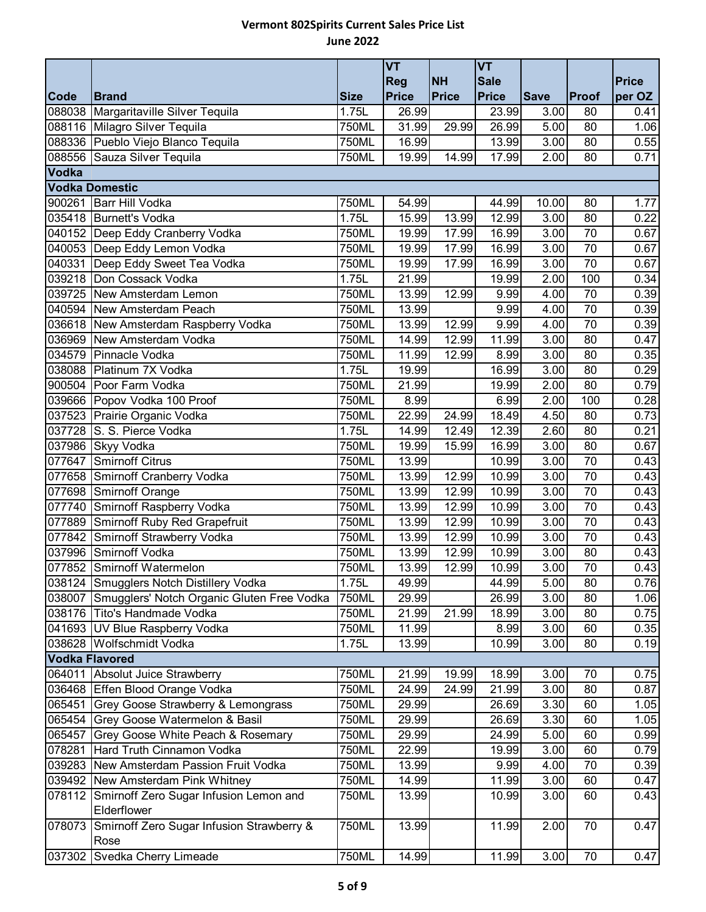|                       |                                            |             | <b>VT</b>    |           | <b>VT</b>    |             |                 |              |
|-----------------------|--------------------------------------------|-------------|--------------|-----------|--------------|-------------|-----------------|--------------|
|                       |                                            |             | <b>Reg</b>   | <b>NH</b> | <b>Sale</b>  |             |                 | <b>Price</b> |
| Code                  | <b>Brand</b>                               | <b>Size</b> | <b>Price</b> | Price     | <b>Price</b> | <b>Save</b> | Proof           | per OZ       |
|                       | 088038 Margaritaville Silver Tequila       | 1.75L       | 26.99        |           | 23.99        | 3.00        | 80              | 0.41         |
|                       | 088116 Milagro Silver Tequila              | 750ML       | 31.99        | 29.99     | 26.99        | 5.00        | 80              | 1.06         |
|                       | 088336 Pueblo Viejo Blanco Tequila         | 750ML       | 16.99        |           | 13.99        | 3.00        | 80              | 0.55         |
|                       | 088556 Sauza Silver Tequila                | 750ML       | 19.99        | 14.99     | 17.99        | 2.00        | 80              | 0.71         |
| Vodka                 | <b>Vodka Domestic</b>                      |             |              |           |              |             |                 |              |
|                       | 900261 Barr Hill Vodka                     | 750ML       | 54.99        |           | 44.99        | 10.00       | 80              | 1.77         |
|                       | 035418 Burnett's Vodka                     | 1.75L       | 15.99        | 13.99     | 12.99        | 3.00        | 80              | 0.22         |
|                       | 040152 Deep Eddy Cranberry Vodka           | 750ML       | 19.99        | 17.99     | 16.99        | 3.00        | 70              | 0.67         |
|                       | 040053 Deep Eddy Lemon Vodka               | 750ML       | 19.99        | 17.99     | 16.99        | 3.00        | 70              | 0.67         |
|                       | 040331 Deep Eddy Sweet Tea Vodka           | 750ML       | 19.99        | 17.99     | 16.99        | 3.00        | 70              | 0.67         |
|                       | 039218 Don Cossack Vodka                   | 1.75L       | 21.99        |           | 19.99        | 2.00        | 100             | 0.34         |
|                       | 039725 New Amsterdam Lemon                 | 750ML       | 13.99        | 12.99     | 9.99         | 4.00        | 70              | 0.39         |
|                       | 040594 New Amsterdam Peach                 | 750ML       | 13.99        |           | 9.99         | 4.00        | 70              | 0.39         |
|                       | 036618 New Amsterdam Raspberry Vodka       | 750ML       | 13.99        | 12.99     | 9.99         | 4.00        | 70              | 0.39         |
|                       | 036969 New Amsterdam Vodka                 | 750ML       | 14.99        | 12.99     | 11.99        | 3.00        | 80              | 0.47         |
|                       | 034579 Pinnacle Vodka                      | 750ML       | 11.99        | 12.99     | 8.99         | 3.00        | 80              | 0.35         |
|                       | 038088 Platinum 7X Vodka                   | 1.75L       | 19.99        |           | 16.99        | 3.00        | 80              | 0.29         |
|                       | 900504 Poor Farm Vodka                     | 750ML       | 21.99        |           | 19.99        | 2.00        | 80              | 0.79         |
|                       | 039666 Popov Vodka 100 Proof               | 750ML       | 8.99         |           | 6.99         | 2.00        | 100             | 0.28         |
|                       | 037523 Prairie Organic Vodka               | 750ML       | 22.99        | 24.99     | 18.49        | 4.50        | 80              | 0.73         |
|                       | 037728 S. S. Pierce Vodka                  | 1.75L       | 14.99        | 12.49     | 12.39        | 2.60        | 80              | 0.21         |
|                       | 037986 Skyy Vodka                          | 750ML       | 19.99        | 15.99     | 16.99        | 3.00        | 80              | 0.67         |
| 077647                | Smirnoff Citrus                            | 750ML       | 13.99        |           | 10.99        | 3.00        | 70              | 0.43         |
|                       | 077658 Smirnoff Cranberry Vodka            | 750ML       | 13.99        | 12.99     | 10.99        | 3.00        | 70              | 0.43         |
|                       | 077698 Smirnoff Orange                     | 750ML       | 13.99        | 12.99     | 10.99        | 3.00        | 70              | 0.43         |
|                       | 077740 Smirnoff Raspberry Vodka            | 750ML       | 13.99        | 12.99     | 10.99        | 3.00        | $\overline{70}$ | 0.43         |
|                       | 077889 Smirnoff Ruby Red Grapefruit        | 750ML       | 13.99        | 12.99     | 10.99        | 3.00        | 70              | 0.43         |
|                       | 077842 Smirnoff Strawberry Vodka           | 750ML       | 13.99        | 12.99     | 10.99        | 3.00        | 70              | 0.43         |
|                       | 037996 Smirnoff Vodka                      | 750ML       | 13.99        | 12.99     | 10.99        | 3.00        | 80              | 0.43         |
|                       | 077852 Smirnoff Watermelon                 | 750ML       | 13.99        | 12.99     | 10.99        | 3.00        | 70              | 0.43         |
|                       | 038124 Smugglers Notch Distillery Vodka    | 1.75L       | 49.99        |           | 44.99        | 5.00        | 80              | 0.76         |
| 038007                | Smugglers' Notch Organic Gluten Free Vodka | 750ML       | 29.99        |           | 26.99        | 3.00        | 80              | 1.06         |
|                       | 038176 Tito's Handmade Vodka               | 750ML       | 21.99        | 21.99     | 18.99        | 3.00        | 80              | 0.75         |
|                       | 041693 UV Blue Raspberry Vodka             | 750ML       | 11.99        |           | 8.99         | 3.00        | 60              | 0.35         |
|                       | 038628 Wolfschmidt Vodka                   | 1.75L       | 13.99        |           | 10.99        | 3.00        | 80              | 0.19         |
| <b>Vodka Flavored</b> |                                            |             |              |           |              |             |                 |              |
|                       | 064011 Absolut Juice Strawberry            | 750ML       | 21.99        | 19.99     | 18.99        | 3.00        | 70              | 0.75         |
|                       | 036468 Effen Blood Orange Vodka            | 750ML       | 24.99        | 24.99     | 21.99        | 3.00        | 80              | 0.87         |
| 065451                | Grey Goose Strawberry & Lemongrass         | 750ML       | 29.99        |           | 26.69        | 3.30        | 60              | 1.05         |
|                       | 065454 Grey Goose Watermelon & Basil       | 750ML       | 29.99        |           | 26.69        | 3.30        | 60              | 1.05         |
| 065457                | Grey Goose White Peach & Rosemary          | 750ML       | 29.99        |           | 24.99        | 5.00        | 60              | 0.99         |
| 078281                | Hard Truth Cinnamon Vodka                  | 750ML       | 22.99        |           | 19.99        | 3.00        | 60              | 0.79         |
|                       | 039283 New Amsterdam Passion Fruit Vodka   | 750ML       | 13.99        |           | 9.99         | 4.00        | 70              | 0.39         |
|                       | 039492 New Amsterdam Pink Whitney          | 750ML       | 14.99        |           | 11.99        | 3.00        | 60              | 0.47         |
| 078112                | Smirnoff Zero Sugar Infusion Lemon and     | 750ML       | 13.99        |           | 10.99        | 3.00        | 60              | 0.43         |
|                       | Elderflower                                |             |              |           |              |             |                 |              |
| 078073                | Smirnoff Zero Sugar Infusion Strawberry &  | 750ML       | 13.99        |           | 11.99        | 2.00        | 70              | 0.47         |
|                       | Rose                                       |             |              |           |              |             |                 |              |
|                       | 037302 Svedka Cherry Limeade               | 750ML       | 14.99        |           | 11.99        | 3.00        | 70              | 0.47         |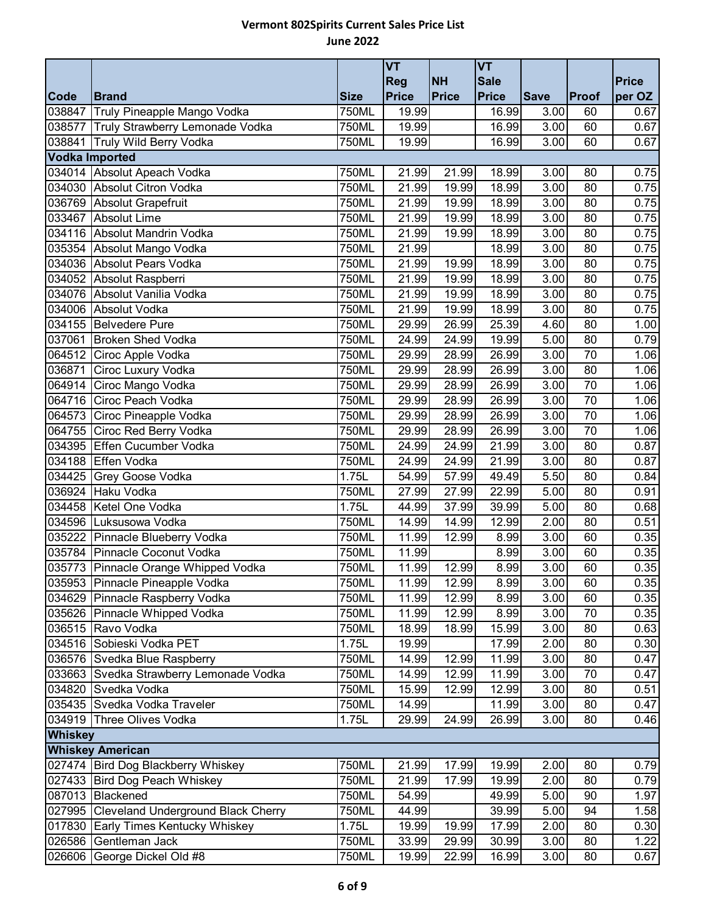|                |                                           |             | <b>VT</b>                  |                           | <b>VT</b>                   |                   |                 | Price  |
|----------------|-------------------------------------------|-------------|----------------------------|---------------------------|-----------------------------|-------------------|-----------------|--------|
| Code           | <b>Brand</b>                              | <b>Size</b> | <b>Reg</b><br><b>Price</b> | <b>NH</b><br><b>Price</b> | <b>Sale</b><br><b>Price</b> | <b>Save</b>       | Proof           | per OZ |
| 038847         | Truly Pineapple Mango Vodka               | 750ML       | 19.99                      |                           | 16.99                       | 3.00              | 60              | 0.67   |
|                | 038577 Truly Strawberry Lemonade Vodka    | 750ML       | 19.99                      |                           | 16.99                       | 3.00              | 60              | 0.67   |
|                | 038841 Truly Wild Berry Vodka             | 750ML       | 19.99                      |                           | 16.99                       | 3.00              | 60              | 0.67   |
|                | <b>Vodka Imported</b>                     |             |                            |                           |                             |                   |                 |        |
|                | 034014 Absolut Apeach Vodka               | 750ML       | 21.99                      | 21.99                     | 18.99                       | 3.00              | 80              | 0.75   |
|                | 034030 Absolut Citron Vodka               | 750ML       | 21.99                      | 19.99                     | 18.99                       | 3.00              | 80              | 0.75   |
|                | 036769 Absolut Grapefruit                 | 750ML       | 21.99                      | 19.99                     | 18.99                       | 3.00              | 80              | 0.75   |
|                | 033467 Absolut Lime                       | 750ML       | 21.99                      | 19.99                     | 18.99                       | 3.00              | 80              | 0.75   |
|                | 034116 Absolut Mandrin Vodka              | 750ML       | 21.99                      | 19.99                     | 18.99                       | 3.00              | 80              | 0.75   |
| 035354         | Absolut Mango Vodka                       | 750ML       | 21.99                      |                           | 18.99                       | 3.00              | 80              | 0.75   |
|                | 034036 Absolut Pears Vodka                | 750ML       | 21.99                      | 19.99                     | 18.99                       | 3.00              | 80              | 0.75   |
|                | 034052 Absolut Raspberri                  | 750ML       | 21.99                      | 19.99                     | 18.99                       | $\overline{3.00}$ | $\overline{80}$ | 0.75   |
|                | 034076 Absolut Vanilia Vodka              | 750ML       | 21.99                      | 19.99                     | 18.99                       | 3.00              | 80              | 0.75   |
|                | 034006 Absolut Vodka                      | 750ML       | 21.99                      | 19.99                     | 18.99                       | 3.00              | 80              | 0.75   |
|                | 034155 Belvedere Pure                     | 750ML       | 29.99                      | 26.99                     | 25.39                       | 4.60              | 80              | 1.00   |
| 037061         | <b>Broken Shed Vodka</b>                  | 750ML       | 24.99                      | 24.99                     | 19.99                       | 5.00              | 80              | 0.79   |
|                | 064512 Ciroc Apple Vodka                  | 750ML       | 29.99                      | 28.99                     | 26.99                       | 3.00              | $\overline{70}$ | 1.06   |
| 036871         | Ciroc Luxury Vodka                        | 750ML       | 29.99                      | 28.99                     | 26.99                       | 3.00              | 80              | 1.06   |
| 064914         | Ciroc Mango Vodka                         | 750ML       | 29.99                      | 28.99                     | 26.99                       | 3.00              | 70              | 1.06   |
|                | 064716 Ciroc Peach Vodka                  | 750ML       | 29.99                      | 28.99                     | 26.99                       | 3.00              | 70              | 1.06   |
| 064573         | Ciroc Pineapple Vodka                     | 750ML       | 29.99                      | 28.99                     | 26.99                       | 3.00              | 70              | 1.06   |
|                | 064755 Ciroc Red Berry Vodka              | 750ML       | 29.99                      | 28.99                     | 26.99                       | 3.00              | $\overline{70}$ | 1.06   |
|                | 034395 Effen Cucumber Vodka               | 750ML       | 24.99                      | 24.99                     | 21.99                       | 3.00              | 80              | 0.87   |
|                | 034188 Effen Vodka                        | 750ML       | 24.99                      | 24.99                     | 21.99                       | 3.00              | 80              | 0.87   |
|                | 034425 Grey Goose Vodka                   | 1.75L       | 54.99                      | 57.99                     | 49.49                       | 5.50              | 80              | 0.84   |
|                | 036924 Haku Vodka                         | 750ML       | 27.99                      | 27.99                     | 22.99                       | 5.00              | 80              | 0.91   |
|                | 034458 Ketel One Vodka                    | 1.75L       | 44.99                      | 37.99                     | 39.99                       | 5.00              | 80              | 0.68   |
|                | 034596 Luksusowa Vodka                    | 750ML       | 14.99                      | 14.99                     | 12.99                       | 2.00              | 80              | 0.51   |
|                | 035222 Pinnacle Blueberry Vodka           | 750ML       | 11.99                      | 12.99                     | 8.99                        | 3.00              | 60              | 0.35   |
|                | 035784 Pinnacle Coconut Vodka             | 750ML       | 11.99                      |                           | 8.99                        | 3.00              | 60              | 0.35   |
|                | 035773 Pinnacle Orange Whipped Vodka      | 750ML       | 11.99                      | 12.99                     | 8.99                        | 3.00              | 60              | 0.35   |
|                | 035953 Pinnacle Pineapple Vodka           | 750ML       | 11.99                      | 12.99                     | 8.99                        | 3.00              | 60              | 0.35   |
|                | 034629 Pinnacle Raspberry Vodka           | 750ML       | 11.99                      | 12.99                     | 8.99                        | 3.00              | 60              | 0.35   |
|                | 035626 Pinnacle Whipped Vodka             | 750ML       | 11.99                      | 12.99                     | 8.99                        | 3.00              | 70              | 0.35   |
|                | 036515 Ravo Vodka                         | 750ML       | 18.99                      | 18.99                     | 15.99                       | 3.00              | 80              | 0.63   |
|                | 034516 Sobieski Vodka PET                 | 1.75L       | 19.99                      |                           | 17.99                       | 2.00              | 80              | 0.30   |
|                | 036576 Svedka Blue Raspberry              | 750ML       | 14.99                      | 12.99                     | 11.99                       | 3.00              | 80              | 0.47   |
| 033663         | Svedka Strawberry Lemonade Vodka          | 750ML       | 14.99                      | 12.99                     | 11.99                       | 3.00              | 70              | 0.47   |
| 034820         | Svedka Vodka                              | 750ML       | 15.99                      | 12.99                     | 12.99                       | 3.00              | 80              | 0.51   |
|                | 035435 Svedka Vodka Traveler              | 750ML       | 14.99                      |                           | 11.99                       | 3.00              | 80              | 0.47   |
|                | 034919 Three Olives Vodka                 | 1.75L       | 29.99                      | 24.99                     | 26.99                       | 3.00              | 80              | 0.46   |
| <b>Whiskey</b> |                                           |             |                            |                           |                             |                   |                 |        |
|                | <b>Whiskey American</b>                   |             |                            |                           |                             |                   |                 |        |
|                | 027474 Bird Dog Blackberry Whiskey        | 750ML       | 21.99                      | 17.99                     | 19.99                       | 2.00              | 80              | 0.79   |
|                | 027433 Bird Dog Peach Whiskey             | 750ML       | 21.99                      | 17.99                     | 19.99                       | 2.00              | 80              | 0.79   |
|                | 087013 Blackened                          | 750ML       | 54.99                      |                           | 49.99                       | 5.00              | 90              | 1.97   |
|                | 027995 Cleveland Underground Black Cherry | 750ML       | 44.99                      |                           | 39.99                       | 5.00              | 94              | 1.58   |
|                | 017830 Early Times Kentucky Whiskey       | 1.75L       | 19.99                      | 19.99                     | 17.99                       | 2.00              | 80              | 0.30   |
|                | 026586 Gentleman Jack                     | 750ML       | 33.99                      | 29.99                     | 30.99                       | 3.00              | 80              | 1.22   |
|                | 026606 George Dickel Old #8               | 750ML       | 19.99                      | 22.99                     | 16.99                       | 3.00              | 80              | 0.67   |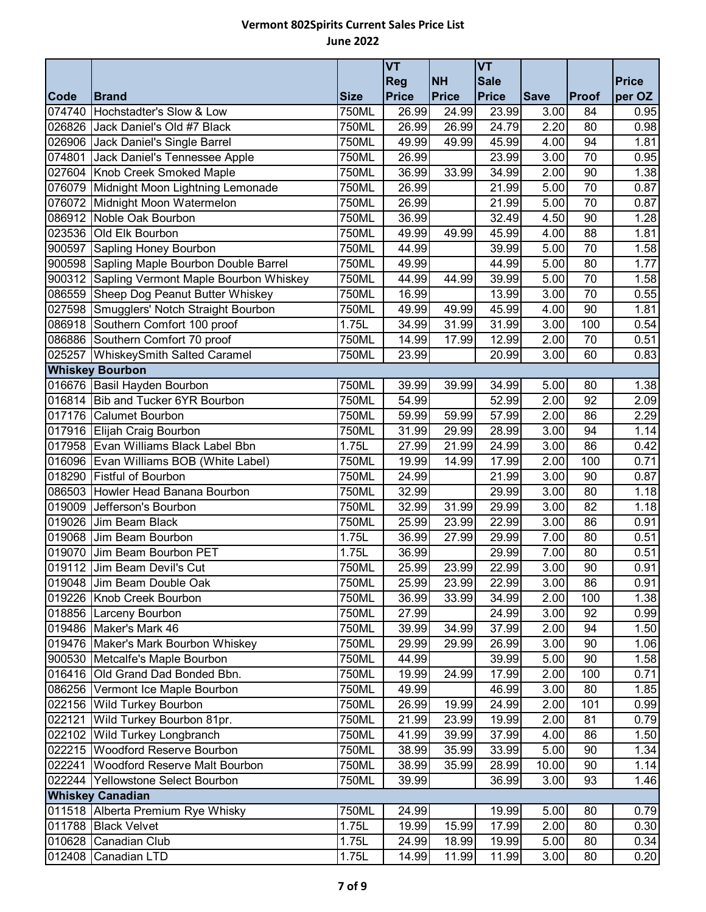|                  |                                                        |                | <b>VT</b>      |                             | <b>VT</b>      |              |                 |              |
|------------------|--------------------------------------------------------|----------------|----------------|-----------------------------|----------------|--------------|-----------------|--------------|
|                  |                                                        |                | <b>Reg</b>     | <b>NH</b>                   | <b>Sale</b>    |              |                 | <b>Price</b> |
| Code             | <b>Brand</b>                                           | <b>Size</b>    | <b>Price</b>   | Price                       | <b>Price</b>   | <b>Save</b>  | Proof           | per OZ       |
| 074740<br>026826 | Hochstadter's Slow & Low<br>Jack Daniel's Old #7 Black | 750ML<br>750ML | 26.99          | 24.99<br>$\overline{26.99}$ | 23.99<br>24.79 | 3.00<br>2.20 | 84<br>80        | 0.95         |
|                  | 026906 Jack Daniel's Single Barrel                     |                | 26.99<br>49.99 | 49.99                       | 45.99          | 4.00         | 94              | 0.98<br>1.81 |
| 074801           | Jack Daniel's Tennessee Apple                          | 750ML<br>750ML | 26.99          |                             | 23.99          | 3.00         | 70              |              |
| 027604           | Knob Creek Smoked Maple                                | 750ML          | 36.99          | 33.99                       | 34.99          | 2.00         | 90              | 0.95<br>1.38 |
| 076079           | Midnight Moon Lightning Lemonade                       | 750ML          | 26.99          |                             | 21.99          | 5.00         | 70              | 0.87         |
| 076072           | Midnight Moon Watermelon                               | 750ML          | 26.99          |                             | 21.99          | 5.00         | $\overline{70}$ | 0.87         |
|                  | 086912 Noble Oak Bourbon                               | 750ML          | 36.99          |                             | 32.49          | 4.50         | 90              | 1.28         |
|                  | 023536 Old Elk Bourbon                                 | 750ML          | 49.99          | 49.99                       | 45.99          | 4.00         | 88              | 1.81         |
| 900597           | Sapling Honey Bourbon                                  | 750ML          | 44.99          |                             | 39.99          | 5.00         | 70              | 1.58         |
| 900598           | Sapling Maple Bourbon Double Barrel                    | 750ML          | 49.99          |                             | 44.99          | 5.00         | 80              | 1.77         |
| 900312           | Sapling Vermont Maple Bourbon Whiskey                  | 750ML          | 44.99          | 44.99                       | 39.99          | 5.00         | $\overline{70}$ | 1.58         |
|                  | 086559 Sheep Dog Peanut Butter Whiskey                 | 750ML          | 16.99          |                             | 13.99          | 3.00         | 70              | 0.55         |
|                  | 027598 Smugglers' Notch Straight Bourbon               | 750ML          | 49.99          | 49.99                       | 45.99          | 4.00         | 90              | 1.81         |
|                  | 086918 Southern Comfort 100 proof                      | 1.75L          | 34.99          | 31.99                       | 31.99          | 3.00         | 100             | 0.54         |
| 086886           | Southern Comfort 70 proof                              | 750ML          | 14.99          | 17.99                       | 12.99          | 2.00         | 70              | 0.51         |
| 025257           | <b>WhiskeySmith Salted Caramel</b>                     | 750ML          | 23.99          |                             | 20.99          | 3.00         | 60              | 0.83         |
|                  | <b>Whiskey Bourbon</b>                                 |                |                |                             |                |              |                 |              |
|                  | 016676 Basil Hayden Bourbon                            | 750ML          | 39.99          | 39.99                       | 34.99          | 5.00         | 80              | 1.38         |
|                  | 016814 Bib and Tucker 6YR Bourbon                      | 750ML          | 54.99          |                             | 52.99          | 2.00         | 92              | 2.09         |
|                  | 017176 Calumet Bourbon                                 | 750ML          | 59.99          | 59.99                       | 57.99          | 2.00         | 86              | 2.29         |
|                  | 017916 Elijah Craig Bourbon                            | 750ML          | 31.99          | 29.99                       | 28.99          | 3.00         | 94              | 1.14         |
|                  | 017958 Evan Williams Black Label Bbn                   | 1.75L          | 27.99          | 21.99                       | 24.99          | 3.00         | 86              | 0.42         |
|                  | 016096 Evan Williams BOB (White Label)                 | 750ML          | 19.99          | 14.99                       | 17.99          | 2.00         | 100             | 0.71         |
| 018290           | <b>Fistful of Bourbon</b>                              | 750ML          | 24.99          |                             | 21.99          | 3.00         | 90              | 0.87         |
| 086503           | Howler Head Banana Bourbon                             | 750ML          | 32.99          |                             | 29.99          | 3.00         | 80              | 1.18         |
| 019009           | Jefferson's Bourbon                                    | 750ML          | 32.99          | 31.99                       | 29.99          | 3.00         | 82              | 1.18         |
|                  | 019026 Jim Beam Black                                  | 750ML          | 25.99          | 23.99                       | 22.99          | 3.00         | 86              | 0.91         |
| 019068           | Jim Beam Bourbon                                       | 1.75L          | 36.99          | 27.99                       | 29.99          | 7.00         | 80              | 0.51         |
| 019070           | Jim Beam Bourbon PET                                   | 1.75L          | 36.99          |                             | 29.99          | 7.00         | 80              | 0.51         |
|                  | 019112 Jim Beam Devil's Cut                            | 750ML          | 25.99          | 23.99                       | 22.99          | 3.00         | 90              | 0.91         |
|                  | 019048 Jim Beam Double Oak                             | 750ML          | 25.99          | 23.99                       | 22.99          | 3.00         | 86              | 0.91         |
|                  | 019226 Knob Creek Bourbon                              | 750ML          | 36.99          | 33.99                       | 34.99          | 2.00         | 100             | 1.38         |
|                  | 018856 Larceny Bourbon                                 | 750ML          | 27.99          |                             | 24.99          | 3.00         | 92              | 0.99         |
|                  | 019486 Maker's Mark 46                                 | 750ML          | 39.99          | 34.99                       | 37.99          | 2.00         | 94              | 1.50         |
| 019476           | Maker's Mark Bourbon Whiskey                           | 750ML          | 29.99          | 29.99                       | 26.99          | 3.00         | 90              | 1.06         |
| 900530           | Metcalfe's Maple Bourbon                               | 750ML          | 44.99          |                             | 39.99          | 5.00         | 90              | 1.58         |
| 016416           | Old Grand Dad Bonded Bbn.                              | 750ML          | 19.99          | 24.99                       | 17.99          | 2.00         | 100             | 0.71         |
|                  | 086256 Vermont Ice Maple Bourbon                       | 750ML          | 49.99          |                             | 46.99          | 3.00         | 80              | 1.85         |
| 022156           | <b>Wild Turkey Bourbon</b>                             | 750ML          | 26.99          | 19.99                       | 24.99          | 2.00         | 101             | 0.99         |
| 022121           | Wild Turkey Bourbon 81pr.                              | 750ML          | 21.99          | 23.99                       | 19.99          | 2.00         | 81              | 0.79         |
| 022102           | Wild Turkey Longbranch                                 | 750ML          | 41.99          | 39.99                       | 37.99          | 4.00         | 86              | 1.50         |
|                  | 022215 Woodford Reserve Bourbon                        | 750ML          | 38.99          | 35.99                       | 33.99          | 5.00         | 90              | 1.34         |
| 022241           | <b>Woodford Reserve Malt Bourbon</b>                   | 750ML          | 38.99          | 35.99                       | 28.99          | 10.00        | 90              | 1.14         |
| 022244           | Yellowstone Select Bourbon                             | 750ML          | 39.99          |                             | 36.99          | 3.00         | 93              | 1.46         |
|                  | <b>Whiskey Canadian</b>                                |                |                |                             |                |              |                 |              |
|                  | 011518 Alberta Premium Rye Whisky                      | 750ML          | 24.99          |                             | 19.99          | 5.00         | 80              | 0.79         |
|                  | 011788 Black Velvet                                    | 1.75L          | 19.99          | 15.99                       | 17.99          | 2.00         | 80              | 0.30         |
| 010628           | Canadian Club                                          | 1.75L          | 24.99          | 18.99                       | 19.99          | 5.00         | 80              | 0.34         |
| 012408           | Canadian LTD                                           | 1.75L          | 14.99          | 11.99                       | 11.99          | 3.00         | 80              | 0.20         |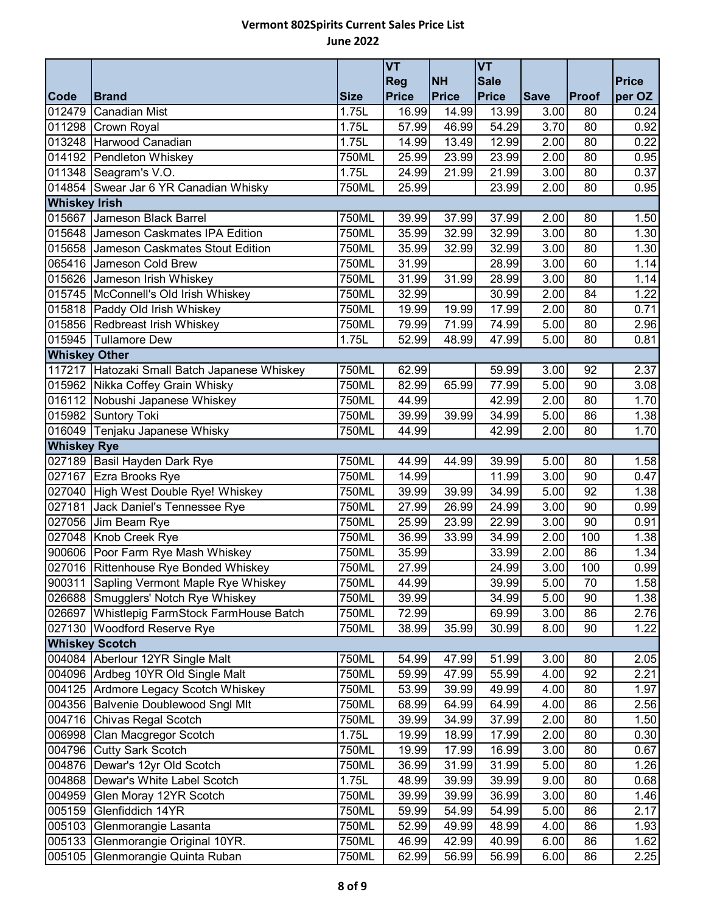|                      |                                                        |             | <b>VT</b>    |                    | <b>VT</b>    |             |       |              |
|----------------------|--------------------------------------------------------|-------------|--------------|--------------------|--------------|-------------|-------|--------------|
|                      |                                                        |             | <b>Reg</b>   | <b>NH</b>          | <b>Sale</b>  |             |       | <b>Price</b> |
| Code                 | <b>Brand</b>                                           | <b>Size</b> | <b>Price</b> | Price              | <b>Price</b> | <b>Save</b> | Proof | per OZ       |
| 012479               | <b>Canadian Mist</b>                                   | 1.75L       | 16.99        | 14.99              | 13.99        | 3.00        | 80    | 0.24         |
|                      | 011298 Crown Royal                                     | 1.75L       | 57.99        | 46.99              | 54.29        | 3.70        | 80    | 0.92         |
|                      | 013248 Harwood Canadian                                | 1.75L       | 14.99        | 13.49              | 12.99        | 2.00        | 80    | 0.22         |
|                      | 014192 Pendleton Whiskey                               | 750ML       | 25.99        | 23.99              | 23.99        | 2.00        | 80    | 0.95         |
|                      | 011348 Seagram's V.O.                                  | 1.75L       | 24.99        | 21.99              | 21.99        | 3.00        | 80    | 0.37         |
|                      | 014854 Swear Jar 6 YR Canadian Whisky                  | 750ML       | 25.99        |                    | 23.99        | 2.00        | 80    | 0.95         |
| <b>Whiskey Irish</b> |                                                        |             |              |                    |              |             |       |              |
|                      | 015667 Jameson Black Barrel                            | 750ML       | 39.99        | 37.99              | 37.99        | 2.00        | 80    | 1.50         |
|                      | 015648 Jameson Caskmates IPA Edition                   | 750ML       | 35.99        | 32.99              | 32.99        | 3.00        | 80    | 1.30         |
|                      | 015658 Jameson Caskmates Stout Edition                 | 750ML       | 35.99        | 32.99              | 32.99        | 3.00        | 80    | 1.30         |
|                      | 065416 Jameson Cold Brew                               | 750ML       | 31.99        |                    | 28.99        | 3.00        | 60    | 1.14         |
|                      | 015626 Jameson Irish Whiskey                           | 750ML       | 31.99        | 31.99              | 28.99        | 3.00        | 80    | 1.14         |
|                      | 015745 McConnell's Old Irish Whiskey                   | 750ML       | 32.99        |                    | 30.99        | 2.00        | 84    | 1.22         |
|                      | 015818 Paddy Old Irish Whiskey                         | 750ML       | 19.99        | 19.99              | 17.99        | 2.00        | 80    | 0.71         |
|                      | 015856 Redbreast Irish Whiskey<br>015945 Tullamore Dew | 750ML       | 79.99        | 71.99              | 74.99        | 5.00        | 80    | 2.96         |
| <b>Whiskey Other</b> |                                                        | 1.75L       | 52.99        | 48.99              | 47.99        | 5.00        | 80    | 0.81         |
|                      | 117217 Hatozaki Small Batch Japanese Whiskey           | 750ML       | 62.99        |                    | 59.99        | 3.00        | 92    | 2.37         |
|                      | 015962 Nikka Coffey Grain Whisky                       | 750ML       | 82.99        | 65.99              | 77.99        | 5.00        | 90    | 3.08         |
|                      | 016112 Nobushi Japanese Whiskey                        | 750ML       | 44.99        |                    | 42.99        | 2.00        | 80    | 1.70         |
|                      | 015982 Suntory Toki                                    | 750ML       | 39.99        | 39.99              | 34.99        | 5.00        | 86    | 1.38         |
|                      | 016049 Tenjaku Japanese Whisky                         | 750ML       | 44.99        |                    | 42.99        | 2.00        | 80    | 1.70         |
| <b>Whiskey Rye</b>   |                                                        |             |              |                    |              |             |       |              |
|                      | 027189 Basil Hayden Dark Rye                           | 750ML       | 44.99        | 44.99              | 39.99        | 5.00        | 80    | 1.58         |
|                      | 027167 Ezra Brooks Rye                                 | 750ML       | 14.99        |                    | 11.99        | 3.00        | 90    | 0.47         |
|                      | 027040 High West Double Rye! Whiskey                   | 750ML       | 39.99        | 39.99              | 34.99        | 5.00        | 92    | 1.38         |
| 027181               | Jack Daniel's Tennessee Rye                            | 750ML       | 27.99        | $\overline{26.99}$ | 24.99        | 3.00        | 90    | 0.99         |
|                      | 027056 Jim Beam Rye                                    | 750ML       | 25.99        | 23.99              | 22.99        | 3.00        | 90    | 0.91         |
|                      | 027048 Knob Creek Rye                                  | 750ML       | 36.99        | 33.99              | 34.99        | 2.00        | 100   | 1.38         |
|                      | 900606 Poor Farm Rye Mash Whiskey                      | 750ML       | 35.99        |                    | 33.99        | 2.00        | 86    | 1.34         |
|                      | 027016 Rittenhouse Rye Bonded Whiskey                  | 750ML       | 27.99        |                    | 24.99        | 3.00        | 100   | 0.99         |
|                      | 900311 Sapling Vermont Maple Rye Whiskey               | 750ML       | 44.99        |                    | 39.99        | 5.00        | 70    | 1.58         |
|                      | 026688 Smugglers' Notch Rye Whiskey                    | 750ML       | 39.99        |                    | 34.99        | 5.00        | 90    | 1.38         |
|                      | 026697 Whistlepig FarmStock FarmHouse Batch            | 750ML       | 72.99        |                    | 69.99        | 3.00        | 86    | 2.76         |
|                      | 027130 Woodford Reserve Rye                            | 750ML       | 38.99        | 35.99              | 30.99        | 8.00        | 90    | 1.22         |
|                      | <b>Whiskey Scotch</b>                                  |             |              |                    |              |             |       |              |
|                      | 004084 Aberlour 12YR Single Malt                       | 750ML       | 54.99        | 47.99              | 51.99        | 3.00        | 80    | 2.05         |
|                      | 004096 Ardbeg 10YR Old Single Malt                     | 750ML       | 59.99        | 47.99              | 55.99        | 4.00        | 92    | 2.21         |
|                      | 004125 Ardmore Legacy Scotch Whiskey                   | 750ML       | 53.99        | 39.99              | 49.99        | 4.00        | 80    | 1.97         |
|                      | 004356 Balvenie Doublewood Sngl Mlt                    | 750ML       | 68.99        | 64.99              | 64.99        | 4.00        | 86    | 2.56         |
|                      | 004716 Chivas Regal Scotch                             | 750ML       | 39.99        | 34.99              | 37.99        | 2.00        | 80    | 1.50         |
|                      | 006998 Clan Macgregor Scotch                           | 1.75L       | 19.99        | 18.99              | 17.99        | 2.00        | 80    | 0.30         |
|                      | 004796 Cutty Sark Scotch                               | 750ML       | 19.99        | 17.99              | 16.99        | 3.00        | 80    | 0.67         |
|                      | 004876 Dewar's 12yr Old Scotch                         | 750ML       | 36.99        | 31.99              | 31.99        | 5.00        | 80    | 1.26         |
| 004868               | Dewar's White Label Scotch                             | 1.75L       | 48.99        | 39.99              | 39.99        | 9.00        | 80    | 0.68         |
| 004959               | Glen Moray 12YR Scotch                                 | 750ML       | 39.99        | 39.99              | 36.99        | 3.00        | 80    | 1.46         |
| 005159               | Glenfiddich 14YR                                       | 750ML       | 59.99        | 54.99              | 54.99        | 5.00        | 86    | 2.17         |
| 005103               | Glenmorangie Lasanta                                   | 750ML       | 52.99        | 49.99              | 48.99        | 4.00        | 86    | 1.93         |
| 005133               | Glenmorangie Original 10YR.                            | 750ML       | 46.99        | 42.99              | 40.99        | 6.00        | 86    | 1.62         |
| 005105               | Glenmorangie Quinta Ruban                              | 750ML       | 62.99        | 56.99              | 56.99        | 6.00        | 86    | 2.25         |